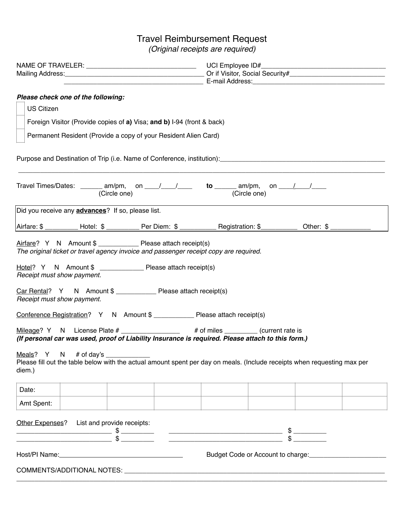## Travel Reimbursement Request

*(Original receipts are required)*

| Please check one of the following:<br><b>US Citizen</b><br>Foreign Visitor (Provide copies of a) Visa; and b) I-94 (front & back)<br>Permanent Resident (Provide a copy of your Resident Alien Card)                                                                                                                                                                                                                                                                                                                                                                                                                                                                                                                                                                                                        |                                                                                |  |
|-------------------------------------------------------------------------------------------------------------------------------------------------------------------------------------------------------------------------------------------------------------------------------------------------------------------------------------------------------------------------------------------------------------------------------------------------------------------------------------------------------------------------------------------------------------------------------------------------------------------------------------------------------------------------------------------------------------------------------------------------------------------------------------------------------------|--------------------------------------------------------------------------------|--|
| Purpose and Destination of Trip (i.e. Name of Conference, institution): [1991] Purpose and Destination of Trip                                                                                                                                                                                                                                                                                                                                                                                                                                                                                                                                                                                                                                                                                              |                                                                                |  |
| Travel Times/Dates: _______ am/pm, on ___/___/____ to ______ am/pm, on ___/ __/___<br>(Circle one)                                                                                                                                                                                                                                                                                                                                                                                                                                                                                                                                                                                                                                                                                                          | (Circle one)                                                                   |  |
| Did you receive any <b>advances</b> ? If so, please list.                                                                                                                                                                                                                                                                                                                                                                                                                                                                                                                                                                                                                                                                                                                                                   |                                                                                |  |
| Airfare: \$ __________ Hotel: \$ __________ Per Diem: \$ __________ Registration: \$ __________ Other: \$ __________                                                                                                                                                                                                                                                                                                                                                                                                                                                                                                                                                                                                                                                                                        |                                                                                |  |
| Airfare? Y N Amount \$ _______________ Please attach receipt(s)<br>The original ticket or travel agency invoice and passenger receipt copy are required.<br>Hotel? Y N Amount \$ ________________ Please attach receipt(s)<br>Receipt must show payment.<br>Car Rental? Y N Amount \$ _______________ Please attach receipt(s)<br>Receipt must show payment.<br>Conference Registration? Y N Amount \$ _____________ Please attach receipt(s)<br>Mileage? Y N License Plate # _______________ # of miles ______ (current rate is<br>(If personal car was used, proof of Liability Insurance is required. Please attach to this form.)<br>Meals? $Y \cap N$ # of day's<br>Please fill out the table below with the actual amount spent per day on meals. (Include receipts when requesting max per<br>diem.) |                                                                                |  |
| Date:                                                                                                                                                                                                                                                                                                                                                                                                                                                                                                                                                                                                                                                                                                                                                                                                       |                                                                                |  |
| Amt Spent:<br>Other Expenses? List and provide receipts:                                                                                                                                                                                                                                                                                                                                                                                                                                                                                                                                                                                                                                                                                                                                                    | Budget Code or Account to charge: 2008. [19] Budget Code or Account to charge: |  |